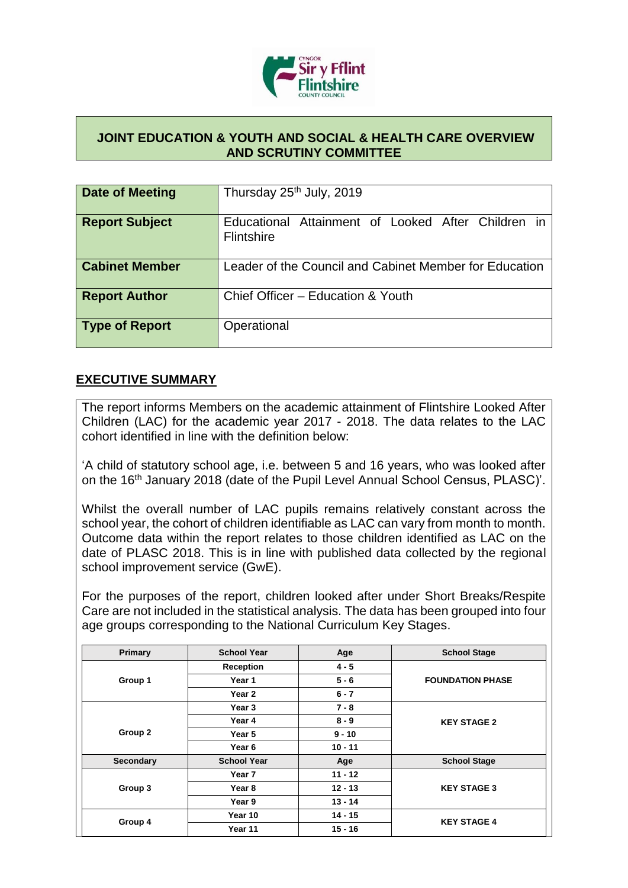

#### **JOINT EDUCATION & YOUTH AND SOCIAL & HEALTH CARE OVERVIEW AND SCRUTINY COMMITTEE**

| <b>Date of Meeting</b> | Thursday 25 <sup>th</sup> July, 2019                                    |
|------------------------|-------------------------------------------------------------------------|
| <b>Report Subject</b>  | Educational Attainment of Looked After Children in<br><b>Flintshire</b> |
| <b>Cabinet Member</b>  | Leader of the Council and Cabinet Member for Education                  |
| <b>Report Author</b>   | Chief Officer - Education & Youth                                       |
| <b>Type of Report</b>  | Operational                                                             |

#### **EXECUTIVE SUMMARY**

The report informs Members on the academic attainment of Flintshire Looked After Children (LAC) for the academic year 2017 - 2018. The data relates to the LAC cohort identified in line with the definition below:

'A child of statutory school age, i.e. between 5 and 16 years, who was looked after on the 16<sup>th</sup> January 2018 (date of the Pupil Level Annual School Census, PLASC)'.

Whilst the overall number of LAC pupils remains relatively constant across the school year, the cohort of children identifiable as LAC can vary from month to month. Outcome data within the report relates to those children identified as LAC on the date of PLASC 2018. This is in line with published data collected by the regional school improvement service (GwE).

For the purposes of the report, children looked after under Short Breaks/Respite Care are not included in the statistical analysis. The data has been grouped into four age groups corresponding to the National Curriculum Key Stages.

| Primary            | <b>School Year</b><br>Age |           | <b>School Stage</b>     |
|--------------------|---------------------------|-----------|-------------------------|
|                    | Reception                 | $4 - 5$   |                         |
| Group 1            | Year 1                    | $5 - 6$   | <b>FOUNDATION PHASE</b> |
|                    | Year 2                    | $6 - 7$   |                         |
|                    | Year 3                    | $7 - 8$   |                         |
|                    | Year 4                    | $8 - 9$   | <b>KEY STAGE 2</b>      |
| Group <sub>2</sub> | Year 5                    | $9 - 10$  |                         |
|                    | Year 6                    | $10 - 11$ |                         |
| Secondary          | <b>School Year</b>        | Age       | <b>School Stage</b>     |
|                    | Year 7                    | $11 - 12$ |                         |
| Group 3            | Year 8                    | $12 - 13$ | <b>KEY STAGE 3</b>      |
|                    | Year 9                    | $13 - 14$ |                         |
|                    | Year 10                   | $14 - 15$ |                         |
| Group 4            | Year 11                   | $15 - 16$ | <b>KEY STAGE 4</b>      |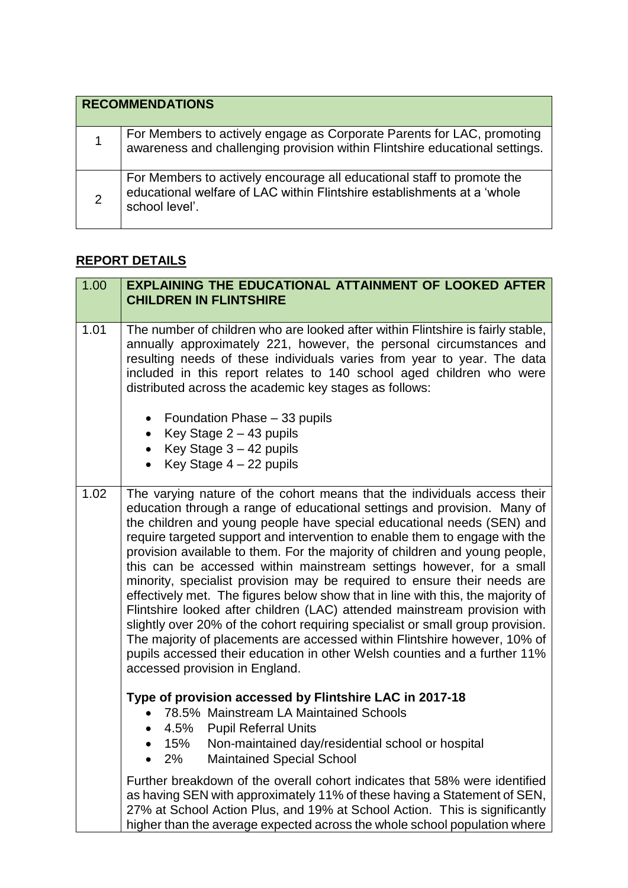|                | <b>RECOMMENDATIONS</b>                                                                                                                                              |
|----------------|---------------------------------------------------------------------------------------------------------------------------------------------------------------------|
|                | For Members to actively engage as Corporate Parents for LAC, promoting<br>awareness and challenging provision within Flintshire educational settings.               |
| $\overline{2}$ | For Members to actively encourage all educational staff to promote the<br>educational welfare of LAC within Flintshire establishments at a 'whole<br>school level'. |

### **REPORT DETAILS**

| 1.00 | <b>EXPLAINING THE EDUCATIONAL ATTAINMENT OF LOOKED AFTER</b>                                                                                                                                                                                                                                                                                                                                                                                                                                                                                                                                                                                                                                                                                                                                                                                                                                                                                                                                   |
|------|------------------------------------------------------------------------------------------------------------------------------------------------------------------------------------------------------------------------------------------------------------------------------------------------------------------------------------------------------------------------------------------------------------------------------------------------------------------------------------------------------------------------------------------------------------------------------------------------------------------------------------------------------------------------------------------------------------------------------------------------------------------------------------------------------------------------------------------------------------------------------------------------------------------------------------------------------------------------------------------------|
|      | <b>CHILDREN IN FLINTSHIRE</b>                                                                                                                                                                                                                                                                                                                                                                                                                                                                                                                                                                                                                                                                                                                                                                                                                                                                                                                                                                  |
| 1.01 | The number of children who are looked after within Flintshire is fairly stable,<br>annually approximately 221, however, the personal circumstances and<br>resulting needs of these individuals varies from year to year. The data<br>included in this report relates to 140 school aged children who were<br>distributed across the academic key stages as follows:                                                                                                                                                                                                                                                                                                                                                                                                                                                                                                                                                                                                                            |
|      | • Foundation Phase - 33 pupils                                                                                                                                                                                                                                                                                                                                                                                                                                                                                                                                                                                                                                                                                                                                                                                                                                                                                                                                                                 |
|      | • Key Stage $2 - 43$ pupils                                                                                                                                                                                                                                                                                                                                                                                                                                                                                                                                                                                                                                                                                                                                                                                                                                                                                                                                                                    |
|      | Key Stage $3 - 42$ pupils<br>Key Stage $4 - 22$ pupils                                                                                                                                                                                                                                                                                                                                                                                                                                                                                                                                                                                                                                                                                                                                                                                                                                                                                                                                         |
| 1.02 | The varying nature of the cohort means that the individuals access their<br>education through a range of educational settings and provision. Many of<br>the children and young people have special educational needs (SEN) and<br>require targeted support and intervention to enable them to engage with the<br>provision available to them. For the majority of children and young people,<br>this can be accessed within mainstream settings however, for a small<br>minority, specialist provision may be required to ensure their needs are<br>effectively met. The figures below show that in line with this, the majority of<br>Flintshire looked after children (LAC) attended mainstream provision with<br>slightly over 20% of the cohort requiring specialist or small group provision.<br>The majority of placements are accessed within Flintshire however, 10% of<br>pupils accessed their education in other Welsh counties and a further 11%<br>accessed provision in England. |
|      | Type of provision accessed by Flintshire LAC in 2017-18<br>78.5% Mainstream LA Maintained Schools<br><b>Pupil Referral Units</b><br>• $4.5\%$<br>15%<br>Non-maintained day/residential school or hospital<br><b>Maintained Special School</b><br>2%                                                                                                                                                                                                                                                                                                                                                                                                                                                                                                                                                                                                                                                                                                                                            |
|      | Further breakdown of the overall cohort indicates that 58% were identified<br>as having SEN with approximately 11% of these having a Statement of SEN,<br>27% at School Action Plus, and 19% at School Action. This is significantly<br>higher than the average expected across the whole school population where                                                                                                                                                                                                                                                                                                                                                                                                                                                                                                                                                                                                                                                                              |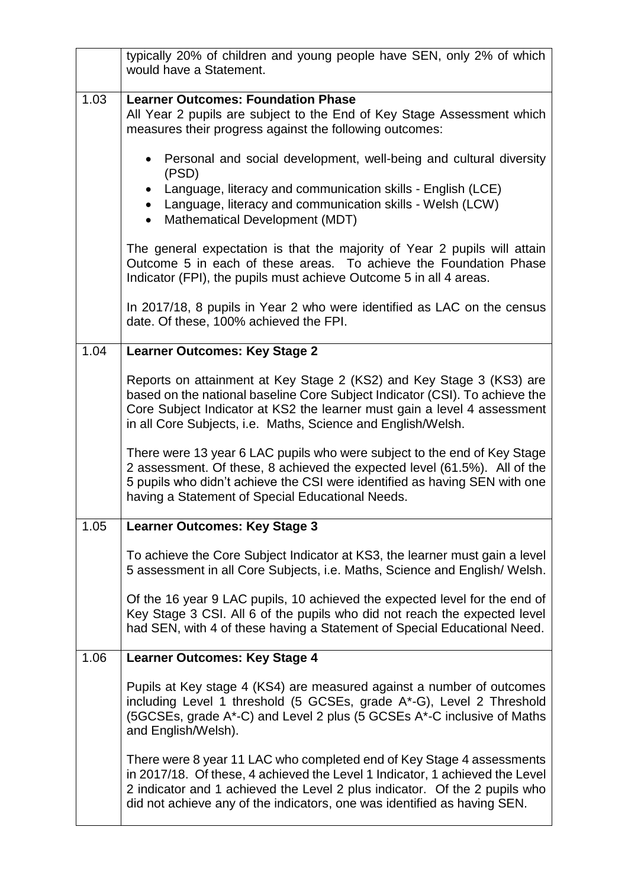|      | typically 20% of children and young people have SEN, only 2% of which<br>would have a Statement.                                                                                                                                                                                                                |
|------|-----------------------------------------------------------------------------------------------------------------------------------------------------------------------------------------------------------------------------------------------------------------------------------------------------------------|
| 1.03 | <b>Learner Outcomes: Foundation Phase</b><br>All Year 2 pupils are subject to the End of Key Stage Assessment which<br>measures their progress against the following outcomes:                                                                                                                                  |
|      | Personal and social development, well-being and cultural diversity<br>$\bullet$<br>(PSD)                                                                                                                                                                                                                        |
|      | Language, literacy and communication skills - English (LCE)<br>Language, literacy and communication skills - Welsh (LCW)<br>Mathematical Development (MDT)                                                                                                                                                      |
|      | The general expectation is that the majority of Year 2 pupils will attain<br>Outcome 5 in each of these areas. To achieve the Foundation Phase<br>Indicator (FPI), the pupils must achieve Outcome 5 in all 4 areas.                                                                                            |
|      | In 2017/18, 8 pupils in Year 2 who were identified as LAC on the census<br>date. Of these, 100% achieved the FPI.                                                                                                                                                                                               |
| 1.04 | <b>Learner Outcomes: Key Stage 2</b>                                                                                                                                                                                                                                                                            |
|      | Reports on attainment at Key Stage 2 (KS2) and Key Stage 3 (KS3) are<br>based on the national baseline Core Subject Indicator (CSI). To achieve the<br>Core Subject Indicator at KS2 the learner must gain a level 4 assessment<br>in all Core Subjects, i.e. Maths, Science and English/Welsh.                 |
|      | There were 13 year 6 LAC pupils who were subject to the end of Key Stage<br>2 assessment. Of these, 8 achieved the expected level (61.5%). All of the<br>5 pupils who didn't achieve the CSI were identified as having SEN with one<br>having a Statement of Special Educational Needs.                         |
| 1.05 | Learner Outcomes: Key Stage 3                                                                                                                                                                                                                                                                                   |
|      | To achieve the Core Subject Indicator at KS3, the learner must gain a level<br>5 assessment in all Core Subjects, i.e. Maths, Science and English/Welsh.                                                                                                                                                        |
|      | Of the 16 year 9 LAC pupils, 10 achieved the expected level for the end of<br>Key Stage 3 CSI. All 6 of the pupils who did not reach the expected level<br>had SEN, with 4 of these having a Statement of Special Educational Need.                                                                             |
| 1.06 | <b>Learner Outcomes: Key Stage 4</b>                                                                                                                                                                                                                                                                            |
|      | Pupils at Key stage 4 (KS4) are measured against a number of outcomes<br>including Level 1 threshold (5 GCSEs, grade A*-G), Level 2 Threshold<br>(5GCSEs, grade A*-C) and Level 2 plus (5 GCSEs A*-C inclusive of Maths<br>and English/Welsh).                                                                  |
|      | There were 8 year 11 LAC who completed end of Key Stage 4 assessments<br>in 2017/18. Of these, 4 achieved the Level 1 Indicator, 1 achieved the Level<br>2 indicator and 1 achieved the Level 2 plus indicator. Of the 2 pupils who<br>did not achieve any of the indicators, one was identified as having SEN. |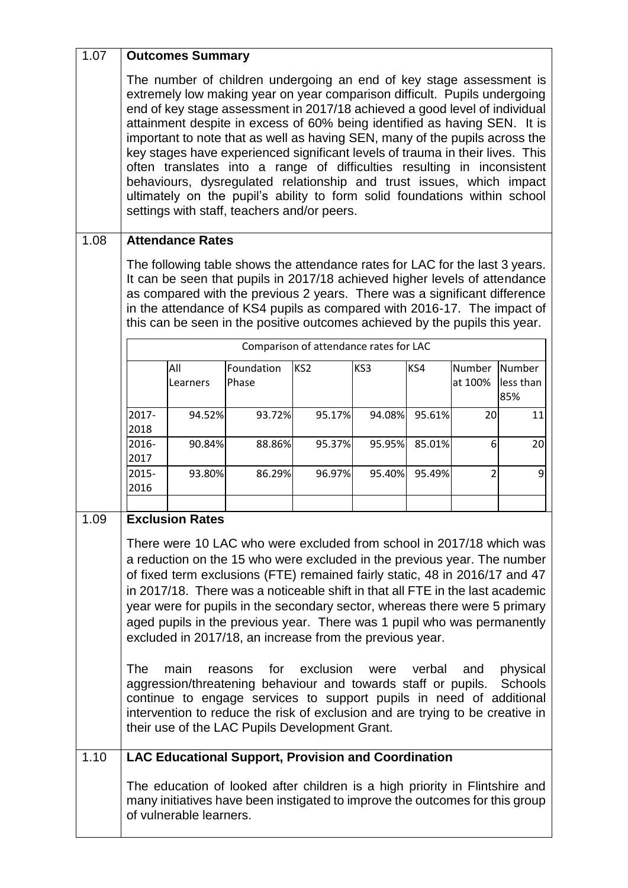| 1.07 |                                                                                                                                                                                                                                                                                                                                                                                                                                                                                                                                                                                                                                                                                                                                                                                                                                                                                                                                                 | <b>Outcomes Summary</b> |                                                                                                                                                                                                                                                                                                                                                                                                                                                                                                                                                                                                                                                                                                                                                            |                 |        |        |                |                  |
|------|-------------------------------------------------------------------------------------------------------------------------------------------------------------------------------------------------------------------------------------------------------------------------------------------------------------------------------------------------------------------------------------------------------------------------------------------------------------------------------------------------------------------------------------------------------------------------------------------------------------------------------------------------------------------------------------------------------------------------------------------------------------------------------------------------------------------------------------------------------------------------------------------------------------------------------------------------|-------------------------|------------------------------------------------------------------------------------------------------------------------------------------------------------------------------------------------------------------------------------------------------------------------------------------------------------------------------------------------------------------------------------------------------------------------------------------------------------------------------------------------------------------------------------------------------------------------------------------------------------------------------------------------------------------------------------------------------------------------------------------------------------|-----------------|--------|--------|----------------|------------------|
|      |                                                                                                                                                                                                                                                                                                                                                                                                                                                                                                                                                                                                                                                                                                                                                                                                                                                                                                                                                 |                         | The number of children undergoing an end of key stage assessment is<br>extremely low making year on year comparison difficult. Pupils undergoing<br>end of key stage assessment in 2017/18 achieved a good level of individual<br>attainment despite in excess of 60% being identified as having SEN. It is<br>important to note that as well as having SEN, many of the pupils across the<br>key stages have experienced significant levels of trauma in their lives. This<br>often translates into a range of difficulties resulting in inconsistent<br>behaviours, dysregulated relationship and trust issues, which impact<br>ultimately on the pupil's ability to form solid foundations within school<br>settings with staff, teachers and/or peers. |                 |        |        |                |                  |
| 1.08 |                                                                                                                                                                                                                                                                                                                                                                                                                                                                                                                                                                                                                                                                                                                                                                                                                                                                                                                                                 | <b>Attendance Rates</b> |                                                                                                                                                                                                                                                                                                                                                                                                                                                                                                                                                                                                                                                                                                                                                            |                 |        |        |                |                  |
|      | The following table shows the attendance rates for LAC for the last 3 years.<br>It can be seen that pupils in 2017/18 achieved higher levels of attendance<br>as compared with the previous 2 years. There was a significant difference<br>in the attendance of KS4 pupils as compared with 2016-17. The impact of<br>this can be seen in the positive outcomes achieved by the pupils this year.<br>Comparison of attendance rates for LAC                                                                                                                                                                                                                                                                                                                                                                                                                                                                                                     |                         |                                                                                                                                                                                                                                                                                                                                                                                                                                                                                                                                                                                                                                                                                                                                                            |                 |        |        |                |                  |
|      |                                                                                                                                                                                                                                                                                                                                                                                                                                                                                                                                                                                                                                                                                                                                                                                                                                                                                                                                                 | All                     | Foundation                                                                                                                                                                                                                                                                                                                                                                                                                                                                                                                                                                                                                                                                                                                                                 | KS <sub>2</sub> | KS3    | KS4    | Number         | Number           |
|      |                                                                                                                                                                                                                                                                                                                                                                                                                                                                                                                                                                                                                                                                                                                                                                                                                                                                                                                                                 | Learners                | Phase                                                                                                                                                                                                                                                                                                                                                                                                                                                                                                                                                                                                                                                                                                                                                      |                 |        |        | at 100%        | less than<br>85% |
|      | 2017-<br>2018                                                                                                                                                                                                                                                                                                                                                                                                                                                                                                                                                                                                                                                                                                                                                                                                                                                                                                                                   | 94.52%                  | 93.72%                                                                                                                                                                                                                                                                                                                                                                                                                                                                                                                                                                                                                                                                                                                                                     | 95.17%          | 94.08% | 95.61% | 20             | 11               |
|      | 2016-<br>2017                                                                                                                                                                                                                                                                                                                                                                                                                                                                                                                                                                                                                                                                                                                                                                                                                                                                                                                                   | 90.84%                  | 88.86%                                                                                                                                                                                                                                                                                                                                                                                                                                                                                                                                                                                                                                                                                                                                                     | 95.37%          | 95.95% | 85.01% | 6              | 20               |
|      | $2015 -$<br>2016                                                                                                                                                                                                                                                                                                                                                                                                                                                                                                                                                                                                                                                                                                                                                                                                                                                                                                                                | 93.80%                  | 86.29%                                                                                                                                                                                                                                                                                                                                                                                                                                                                                                                                                                                                                                                                                                                                                     | 96.97%          | 95.40% | 95.49% | $\overline{2}$ | 9                |
|      |                                                                                                                                                                                                                                                                                                                                                                                                                                                                                                                                                                                                                                                                                                                                                                                                                                                                                                                                                 |                         |                                                                                                                                                                                                                                                                                                                                                                                                                                                                                                                                                                                                                                                                                                                                                            |                 |        |        |                |                  |
| 1.09 | <b>Exclusion Rates</b><br>There were 10 LAC who were excluded from school in 2017/18 which was<br>a reduction on the 15 who were excluded in the previous year. The number<br>of fixed term exclusions (FTE) remained fairly static, 48 in 2016/17 and 47<br>in 2017/18. There was a noticeable shift in that all FTE in the last academic<br>year were for pupils in the secondary sector, whereas there were 5 primary<br>aged pupils in the previous year. There was 1 pupil who was permanently<br>excluded in 2017/18, an increase from the previous year.<br>exclusion<br><b>The</b><br>main<br>for<br>verbal<br>physical<br>reasons<br>were<br>and<br>aggression/threatening behaviour and towards staff or pupils.<br>Schools<br>continue to engage services to support pupils in need of additional<br>intervention to reduce the risk of exclusion and are trying to be creative in<br>their use of the LAC Pupils Development Grant. |                         |                                                                                                                                                                                                                                                                                                                                                                                                                                                                                                                                                                                                                                                                                                                                                            |                 |        |        |                |                  |
| 1.10 |                                                                                                                                                                                                                                                                                                                                                                                                                                                                                                                                                                                                                                                                                                                                                                                                                                                                                                                                                 |                         | <b>LAC Educational Support, Provision and Coordination</b>                                                                                                                                                                                                                                                                                                                                                                                                                                                                                                                                                                                                                                                                                                 |                 |        |        |                |                  |
|      |                                                                                                                                                                                                                                                                                                                                                                                                                                                                                                                                                                                                                                                                                                                                                                                                                                                                                                                                                 | of vulnerable learners. | The education of looked after children is a high priority in Flintshire and<br>many initiatives have been instigated to improve the outcomes for this group                                                                                                                                                                                                                                                                                                                                                                                                                                                                                                                                                                                                |                 |        |        |                |                  |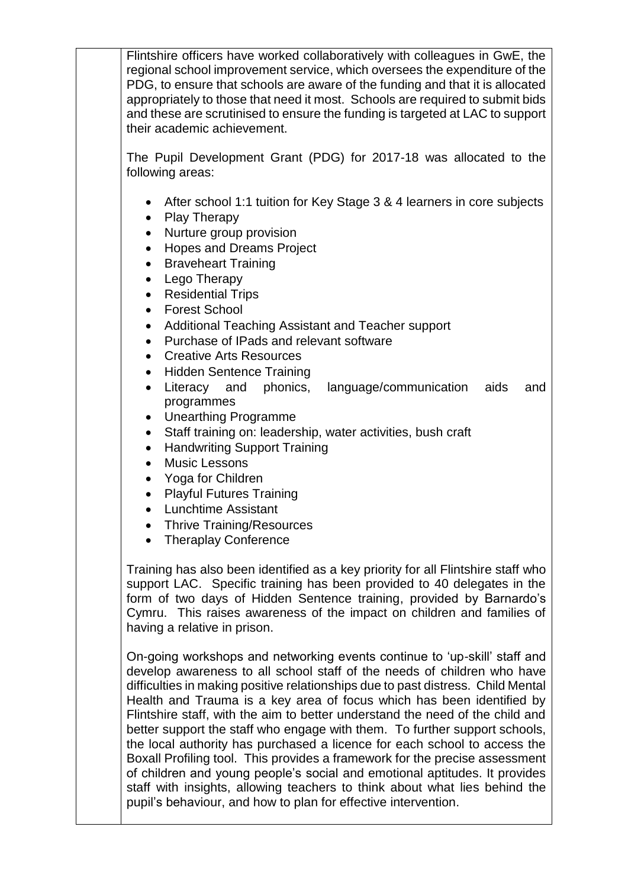Flintshire officers have worked collaboratively with colleagues in GwE, the regional school improvement service, which oversees the expenditure of the PDG, to ensure that schools are aware of the funding and that it is allocated appropriately to those that need it most. Schools are required to submit bids and these are scrutinised to ensure the funding is targeted at LAC to support their academic achievement.

The Pupil Development Grant (PDG) for 2017-18 was allocated to the following areas:

- After school 1:1 tuition for Key Stage 3 & 4 learners in core subjects
- Play Therapy
- Nurture group provision
- Hopes and Dreams Project
- Braveheart Training
- Lego Therapy
- Residential Trips
- Forest School
- Additional Teaching Assistant and Teacher support
- Purchase of IPads and relevant software
- Creative Arts Resources
- Hidden Sentence Training
- Literacy and phonics, language/communication aids and programmes
- Unearthing Programme
- Staff training on: leadership, water activities, bush craft
- Handwriting Support Training
- Music Lessons
- Yoga for Children
- Playful Futures Training
- Lunchtime Assistant
- Thrive Training/Resources
- Theraplay Conference

Training has also been identified as a key priority for all Flintshire staff who support LAC. Specific training has been provided to 40 delegates in the form of two days of Hidden Sentence training, provided by Barnardo's Cymru. This raises awareness of the impact on children and families of having a relative in prison.

On-going workshops and networking events continue to 'up-skill' staff and develop awareness to all school staff of the needs of children who have difficulties in making positive relationships due to past distress. Child Mental Health and Trauma is a key area of focus which has been identified by Flintshire staff, with the aim to better understand the need of the child and better support the staff who engage with them. To further support schools, the local authority has purchased a licence for each school to access the Boxall Profiling tool. This provides a framework for the precise assessment of children and young people's social and emotional aptitudes. It provides staff with insights, allowing teachers to think about what lies behind the pupil's behaviour, and how to plan for effective intervention.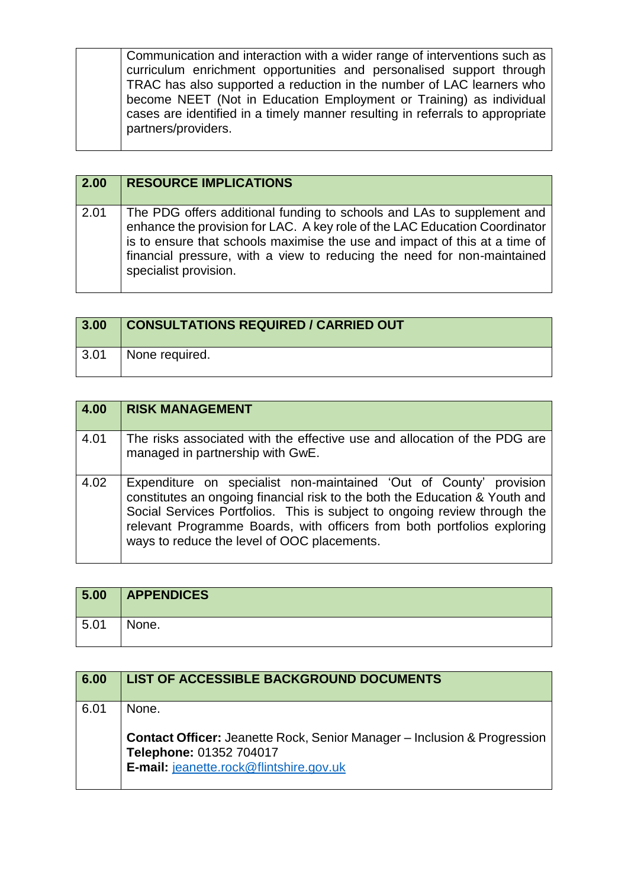Communication and interaction with a wider range of interventions such as curriculum enrichment opportunities and personalised support through TRAC has also supported a reduction in the number of LAC learners who become NEET (Not in Education Employment or Training) as individual cases are identified in a timely manner resulting in referrals to appropriate partners/providers.

## **2.00 RESOURCE IMPLICATIONS**

| 2.01 | The PDG offers additional funding to schools and LAs to supplement and                           |
|------|--------------------------------------------------------------------------------------------------|
|      | enhance the provision for LAC. A key role of the LAC Education Coordinator                       |
|      | is to ensure that schools maximise the use and impact of this at a time of                       |
|      | financial pressure, with a view to reducing the need for non-maintained<br>specialist provision. |
|      |                                                                                                  |

| 3.00 | <b>CONSULTATIONS REQUIRED / CARRIED OUT</b> |
|------|---------------------------------------------|
| 3.01 | None required.                              |

| 4.00 | <b>RISK MANAGEMENT</b>                                                                                                                                                                                                                                                                                                                                   |
|------|----------------------------------------------------------------------------------------------------------------------------------------------------------------------------------------------------------------------------------------------------------------------------------------------------------------------------------------------------------|
| 4.01 | The risks associated with the effective use and allocation of the PDG are<br>managed in partnership with GwE.                                                                                                                                                                                                                                            |
| 4.02 | Expenditure on specialist non-maintained 'Out of County' provision<br>constitutes an ongoing financial risk to the both the Education & Youth and<br>Social Services Portfolios. This is subject to ongoing review through the<br>relevant Programme Boards, with officers from both portfolios exploring<br>ways to reduce the level of OOC placements. |

| 5.00 | <b>APPENDICES</b> |
|------|-------------------|
| 5.01 | None.             |

# **6.00 LIST OF ACCESSIBLE BACKGROUND DOCUMENTS** 6.01 None. **Contact Officer:** Jeanette Rock, Senior Manager – Inclusion & Progression **Telephone:** 01352 704017 **E-mail:** [jeanette.rock@flintshire.gov.uk](mailto:jeanette.rock@flintshire.gov.uk)